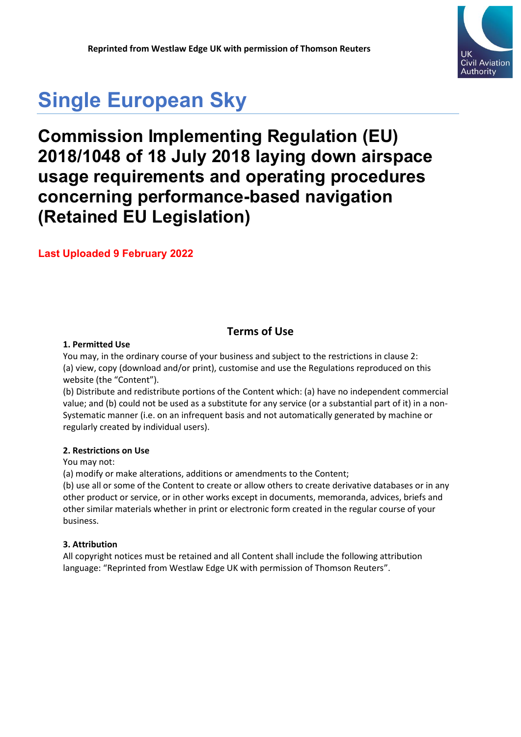

# **Single European Sky**

# **Commission Implementing Regulation (EU) 2018/1048 of 18 July 2018 laying down airspace usage requirements and operating procedures concerning performance-based navigation (Retained EU Legislation)**

**Last Uploaded 9 February 2022**

### **Terms of Use**

### **1. Permitted Use**

You may, in the ordinary course of your business and subject to the restrictions in clause 2: (a) view, copy (download and/or print), customise and use the Regulations reproduced on this website (the "Content").

(b) Distribute and redistribute portions of the Content which: (a) have no independent commercial value; and (b) could not be used as a substitute for any service (or a substantial part of it) in a non-Systematic manner (i.e. on an infrequent basis and not automatically generated by machine or regularly created by individual users).

### **2. Restrictions on Use**

You may not:

(a) modify or make alterations, additions or amendments to the Content;

(b) use all or some of the Content to create or allow others to create derivative databases or in any other product or service, or in other works except in documents, memoranda, advices, briefs and other similar materials whether in print or electronic form created in the regular course of your business.

### **3. Attribution**

All copyright notices must be retained and all Content shall include the following attribution language: "Reprinted from Westlaw Edge UK with permission of Thomson Reuters".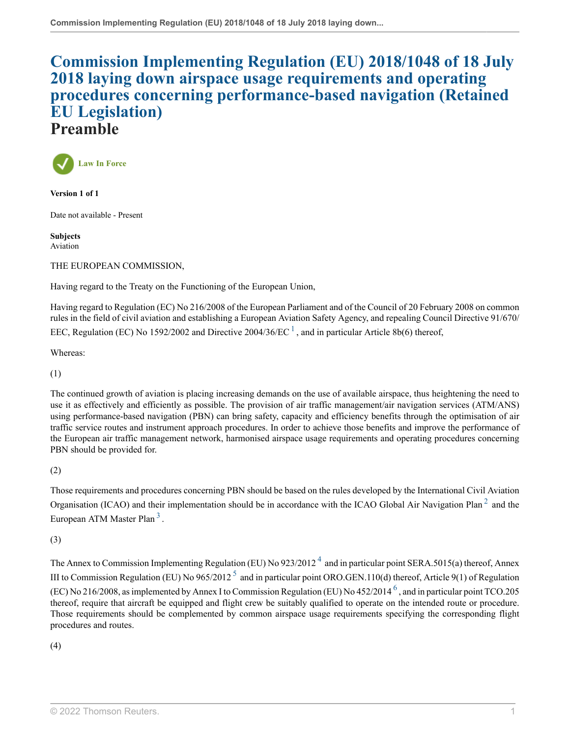### **[Commission Implementing Regulation \(EU\) 2018/1048 of 18 July](http://uk.westlaw.com/Document/I291A4860307411EBA8E4DD742B5B5E92/View/FullText.html?originationContext=document&transitionType=DocumentItem&vr=3.0&rs=PLUK1.0&contextData=(sc.Search)) [2018 laying down airspace usage requirements and operating](http://uk.westlaw.com/Document/I291A4860307411EBA8E4DD742B5B5E92/View/FullText.html?originationContext=document&transitionType=DocumentItem&vr=3.0&rs=PLUK1.0&contextData=(sc.Search)) [procedures concerning performance-based navigation \(Retained](http://uk.westlaw.com/Document/I291A4860307411EBA8E4DD742B5B5E92/View/FullText.html?originationContext=document&transitionType=DocumentItem&vr=3.0&rs=PLUK1.0&contextData=(sc.Search)) [EU Legislation\)](http://uk.westlaw.com/Document/I291A4860307411EBA8E4DD742B5B5E92/View/FullText.html?originationContext=document&transitionType=DocumentItem&vr=3.0&rs=PLUK1.0&contextData=(sc.Search)) Preamble**



**Version 1 of 1**

Date not available - Present

**Subjects** Aviation

THE EUROPEAN COMMISSION,

Having regard to the Treaty on the Functioning of the European Union,

<span id="page-1-0"></span>Having regard to Regulation (EC) No 216/2008 of the European Parliament and of the Council of 20 February 2008 on common rules in the field of civil aviation and establishing a European Aviation Safety Agency, and repealing Council Directive 91/670/ EEC, Regulation (EC) No [1](#page-3-0)592/2002 and Directive 2004/36/EC  $^1$ , and in particular Article 8b(6) thereof,

Whereas:

(1)

The continued growth of aviation is placing increasing demands on the use of available airspace, thus heightening the need to use it as effectively and efficiently as possible. The provision of air traffic management/air navigation services (ATM/ANS) using performance-based navigation (PBN) can bring safety, capacity and efficiency benefits through the optimisation of air traffic service routes and instrument approach procedures. In order to achieve those benefits and improve the performance of the European air traffic management network, harmonised airspace usage requirements and operating procedures concerning PBN should be provided for.

(2)

<span id="page-1-2"></span><span id="page-1-1"></span>Those requirements and procedures concerning PBN should be based on the rules developed by the International Civil Aviation Organisation (ICAO) and their implementation should be in accordance with the ICAO Global Air Navigation Plan<sup>[2](#page-3-1)</sup> and the European ATM Master Plan<sup>[3](#page-3-2)</sup>.

(3)

<span id="page-1-5"></span><span id="page-1-4"></span><span id="page-1-3"></span>The Annex to Commission Implementing Regulation (EU) No 923/2012<sup>[4](#page-3-3)</sup> and in particular point SERA.5015(a) thereof, Annex III to Commission Regulation (EU) No  $965/2012^5$  $965/2012^5$  $965/2012^5$  and in particular point ORO.GEN.110(d) thereof, Article 9(1) of Regulation (EC) No 21[6](#page-3-5)/2008, as implemented by Annex I to Commission Regulation (EU) No 452/2014  $^6$  , and in particular point TCO.205 thereof, require that aircraft be equipped and flight crew be suitably qualified to operate on the intended route or procedure. Those requirements should be complemented by common airspace usage requirements specifying the corresponding flight procedures and routes.

(4)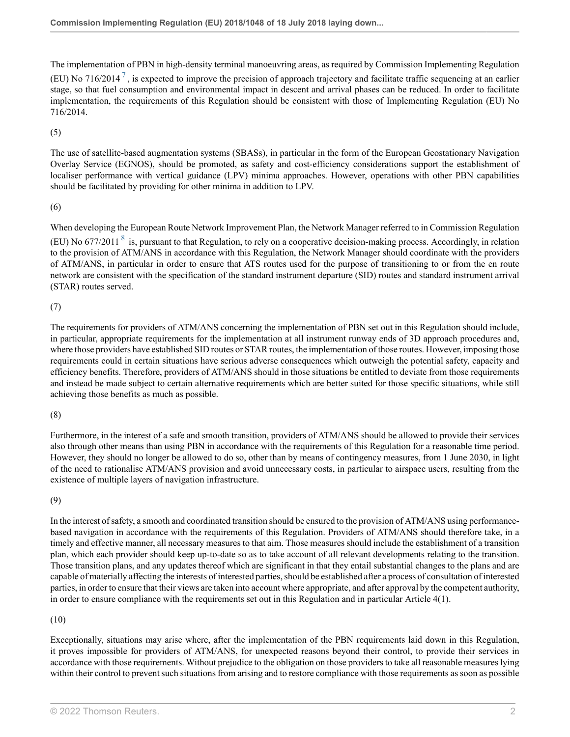<span id="page-2-0"></span>The implementation of PBN in high-density terminal manoeuvring areas, as required by Commission Implementing Regulation (EU) No [7](#page-3-6)16/2014<sup>7</sup>, is expected to improve the precision of approach trajectory and facilitate traffic sequencing at an earlier stage, so that fuel consumption and environmental impact in descent and arrival phases can be reduced. In order to facilitate implementation, the requirements of this Regulation should be consistent with those of Implementing Regulation (EU) No 716/2014.

(5)

The use of satellite-based augmentation systems (SBASs), in particular in the form of the European Geostationary Navigation Overlay Service (EGNOS), should be promoted, as safety and cost-efficiency considerations support the establishment of localiser performance with vertical guidance (LPV) minima approaches. However, operations with other PBN capabilities should be facilitated by providing for other minima in addition to LPV.

### (6)

<span id="page-2-1"></span>When developing the European Route Network Improvement Plan, the Network Manager referred to in Commission Regulation (EU) No 677/2011<sup>[8](#page-3-7)</sup> is, pursuant to that Regulation, to rely on a cooperative decision-making process. Accordingly, in relation to the provision of ATM/ANS in accordance with this Regulation, the Network Manager should coordinate with the providers of ATM/ANS, in particular in order to ensure that ATS routes used for the purpose of transitioning to or from the en route network are consistent with the specification of the standard instrument departure (SID) routes and standard instrument arrival (STAR) routes served.

### (7)

The requirements for providers of ATM/ANS concerning the implementation of PBN set out in this Regulation should include, in particular, appropriate requirements for the implementation at all instrument runway ends of 3D approach procedures and, where those providers have established SID routes or STAR routes, the implementation of those routes. However, imposing those requirements could in certain situations have serious adverse consequences which outweigh the potential safety, capacity and efficiency benefits. Therefore, providers of ATM/ANS should in those situations be entitled to deviate from those requirements and instead be made subject to certain alternative requirements which are better suited for those specific situations, while still achieving those benefits as much as possible.

### (8)

Furthermore, in the interest of a safe and smooth transition, providers of ATM/ANS should be allowed to provide their services also through other means than using PBN in accordance with the requirements of this Regulation for a reasonable time period. However, they should no longer be allowed to do so, other than by means of contingency measures, from 1 June 2030, in light of the need to rationalise ATM/ANS provision and avoid unnecessary costs, in particular to airspace users, resulting from the existence of multiple layers of navigation infrastructure.

#### (9)

In the interest of safety, a smooth and coordinated transition should be ensured to the provision of ATM/ANS using performancebased navigation in accordance with the requirements of this Regulation. Providers of ATM/ANS should therefore take, in a timely and effective manner, all necessary measures to that aim. Those measures should include the establishment of a transition plan, which each provider should keep up-to-date so as to take account of all relevant developments relating to the transition. Those transition plans, and any updates thereof which are significant in that they entail substantial changes to the plans and are capable of materially affecting the interests of interested parties, should be established after a process of consultation of interested parties, in order to ensure that their views are taken into account where appropriate, and after approval by the competent authority, in order to ensure compliance with the requirements set out in this Regulation and in particular Article 4(1).

### (10)

Exceptionally, situations may arise where, after the implementation of the PBN requirements laid down in this Regulation, it proves impossible for providers of ATM/ANS, for unexpected reasons beyond their control, to provide their services in accordance with those requirements. Without prejudice to the obligation on those providers to take all reasonable measures lying within their control to prevent such situations from arising and to restore compliance with those requirements as soon as possible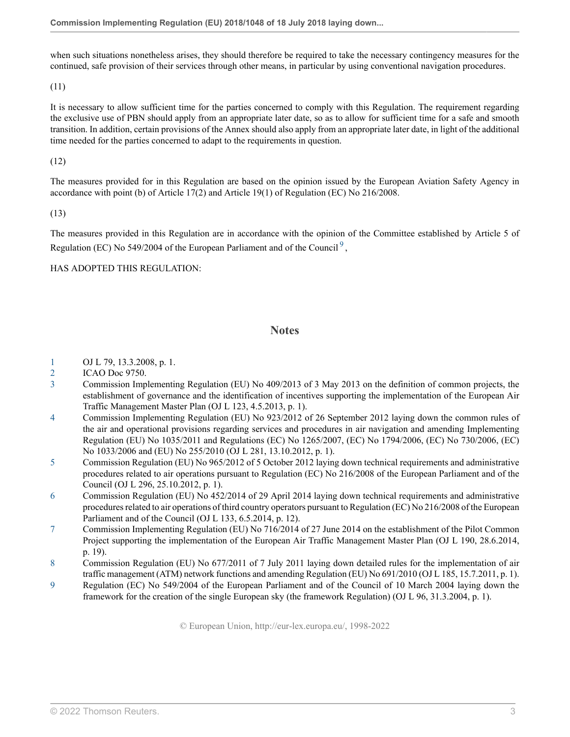when such situations nonetheless arises, they should therefore be required to take the necessary contingency measures for the continued, safe provision of their services through other means, in particular by using conventional navigation procedures.

(11)

It is necessary to allow sufficient time for the parties concerned to comply with this Regulation. The requirement regarding the exclusive use of PBN should apply from an appropriate later date, so as to allow for sufficient time for a safe and smooth transition. In addition, certain provisions of the Annex should also apply from an appropriate later date, in light of the additional time needed for the parties concerned to adapt to the requirements in question.

(12)

The measures provided for in this Regulation are based on the opinion issued by the European Aviation Safety Agency in accordance with point (b) of Article 17(2) and Article 19(1) of Regulation (EC) No 216/2008.

(13)

The measures provided in this Regulation are in accordance with the opinion of the Committee established by Article 5 of Regulation (EC) No 54[9](#page-3-8)/2004 of the European Parliament and of the Council<sup>9</sup>,

### HAS ADOPTED THIS REGULATION:

### <span id="page-3-9"></span>**Notes**

- <span id="page-3-0"></span>[1](#page-1-0) OJ L 79, 13.3.2008, p. 1.
- <span id="page-3-1"></span>[2](#page-1-1) ICAO Doc 9750.
- <span id="page-3-2"></span>[3](#page-1-2) Commission Implementing Regulation (EU) No 409/2013 of 3 May 2013 on the definition of common projects, the establishment of governance and the identification of incentives supporting the implementation of the European Air Traffic Management Master Plan (OJ L 123, 4.5.2013, p. 1).
- <span id="page-3-3"></span>[4](#page-1-3) Commission Implementing Regulation (EU) No 923/2012 of 26 September 2012 laying down the common rules of the air and operational provisions regarding services and procedures in air navigation and amending Implementing Regulation (EU) No 1035/2011 and Regulations (EC) No 1265/2007, (EC) No 1794/2006, (EC) No 730/2006, (EC) No 1033/2006 and (EU) No 255/2010 (OJ L 281, 13.10.2012, p. 1).
- <span id="page-3-4"></span>[5](#page-1-4) Commission Regulation (EU) No 965/2012 of 5 October 2012 laying down technical requirements and administrative procedures related to air operations pursuant to Regulation (EC) No 216/2008 of the European Parliament and of the Council (OJ L 296, 25.10.2012, p. 1).
- <span id="page-3-5"></span>[6](#page-1-5) Commission Regulation (EU) No 452/2014 of 29 April 2014 laying down technical requirements and administrative procedures related to air operations of third country operators pursuant to Regulation (EC) No 216/2008 of the European Parliament and of the Council (OJ L 133, 6.5.2014, p. 12).
- <span id="page-3-6"></span>[7](#page-2-0) Commission Implementing Regulation (EU) No 716/2014 of 27 June 2014 on the establishment of the Pilot Common Project supporting the implementation of the European Air Traffic Management Master Plan (OJ L 190, 28.6.2014, p. 19).
- <span id="page-3-7"></span>[8](#page-2-1) Commission Regulation (EU) No 677/2011 of 7 July 2011 laying down detailed rules for the implementation of air traffic management (ATM) network functions and amending Regulation (EU) No 691/2010 (OJ L 185, 15.7.2011, p. 1).
- <span id="page-3-8"></span>[9](#page-3-9) Regulation (EC) No 549/2004 of the European Parliament and of the Council of 10 March 2004 laying down the framework for the creation of the single European sky (the framework Regulation) (OJ L 96, 31.3.2004, p. 1).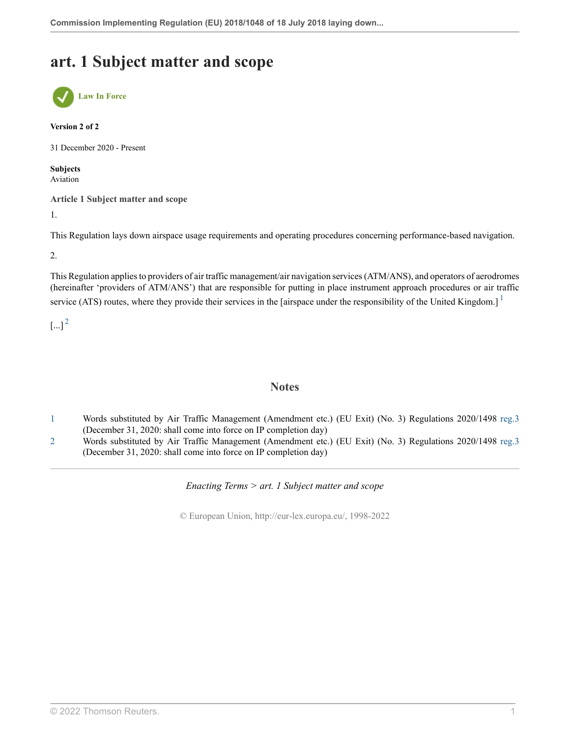### **art. 1 Subject matter and scope**



#### **Version 2 of 2**

31 December 2020 - Present

**Subjects** Aviation

**Article 1 Subject matter and scope**

1.

This Regulation lays down airspace usage requirements and operating procedures concerning performance-based navigation.

2.

This Regulation applies to providers of air traffic management/air navigation services (ATM/ANS), and operators of aerodromes (hereinafter 'providers of ATM/ANS') that are responsible for putting in place instrument approach procedures or air traffic service (ATS) routes, where they provide their services in the [airspace under the responsibility of the United Kingdom.]<sup>[1](#page-4-0)</sup>

<span id="page-4-3"></span> $[...]^2$  $[...]^2$ 

### <span id="page-4-2"></span>**Notes**

- <span id="page-4-0"></span>[1](#page-4-2) Words substituted by Air Traffic Management (Amendment etc.) (EU Exit) (No. 3) Regulations 2020/1498 [reg.3](http://uk.westlaw.com/Document/IA0277A403BA011EB9024AFDBE50F3BE7/View/FullText.html?originationContext=document&transitionType=DocumentItem&vr=3.0&rs=PLUK1.0&contextData=(sc.Search)) (December 31, 2020: shall come into force on IP completion day)
- <span id="page-4-1"></span>[2](#page-4-3) Words substituted by Air Traffic Management (Amendment etc.) (EU Exit) (No. 3) Regulations 2020/1498 [reg.3](http://uk.westlaw.com/Document/IA0277A403BA011EB9024AFDBE50F3BE7/View/FullText.html?originationContext=document&transitionType=DocumentItem&vr=3.0&rs=PLUK1.0&contextData=(sc.Search)) (December 31, 2020: shall come into force on IP completion day)

*Enacting Terms > art. 1 Subject matter and scope*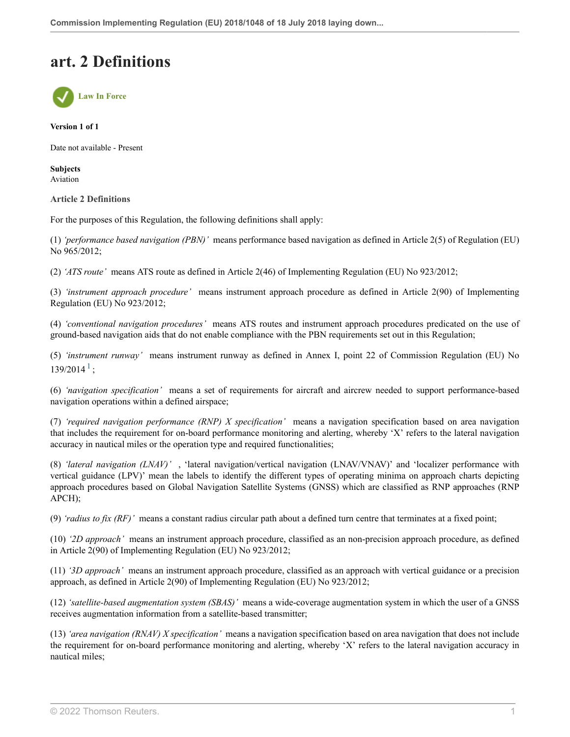### **art. 2 Definitions**



**Version 1 of 1**

Date not available - Present

**Subjects** Aviation

**Article 2 Definitions**

For the purposes of this Regulation, the following definitions shall apply:

(1) *'performance based navigation (PBN)'* means performance based navigation as defined in Article 2(5) of Regulation (EU) No 965/2012;

(2) *'ATS route'* means ATS route as defined in Article 2(46) of Implementing Regulation (EU) No 923/2012;

(3) *'instrument approach procedure'* means instrument approach procedure as defined in Article 2(90) of Implementing Regulation (EU) No 923/2012;

(4) *'conventional navigation procedures'* means ATS routes and instrument approach procedures predicated on the use of ground-based navigation aids that do not enable compliance with the PBN requirements set out in this Regulation;

<span id="page-5-0"></span>(5) *'instrument runway'* means instrument runway as defined in Annex I, point 22 of Commission Regulation (EU) No  $139/2014^1$  $139/2014^1$ ;

(6) *'navigation specification'* means a set of requirements for aircraft and aircrew needed to support performance-based navigation operations within a defined airspace;

(7) *'required navigation performance (RNP) X specification'* means a navigation specification based on area navigation that includes the requirement for on-board performance monitoring and alerting, whereby 'X' refers to the lateral navigation accuracy in nautical miles or the operation type and required functionalities;

(8) *'lateral navigation (LNAV)'* , 'lateral navigation/vertical navigation (LNAV/VNAV)' and 'localizer performance with vertical guidance (LPV)' mean the labels to identify the different types of operating minima on approach charts depicting approach procedures based on Global Navigation Satellite Systems (GNSS) which are classified as RNP approaches (RNP APCH);

(9) *'radius to fix (RF)'* means a constant radius circular path about a defined turn centre that terminates at a fixed point;

(10) *'2D approach'* means an instrument approach procedure, classified as an non-precision approach procedure, as defined in Article 2(90) of Implementing Regulation (EU) No 923/2012;

(11) *'3D approach'* means an instrument approach procedure, classified as an approach with vertical guidance or a precision approach, as defined in Article 2(90) of Implementing Regulation (EU) No 923/2012;

(12) *'satellite-based augmentation system (SBAS)'* means a wide-coverage augmentation system in which the user of a GNSS receives augmentation information from a satellite-based transmitter;

(13) *'area navigation (RNAV) X specification'* means a navigation specification based on area navigation that does not include the requirement for on-board performance monitoring and alerting, whereby 'X' refers to the lateral navigation accuracy in nautical miles;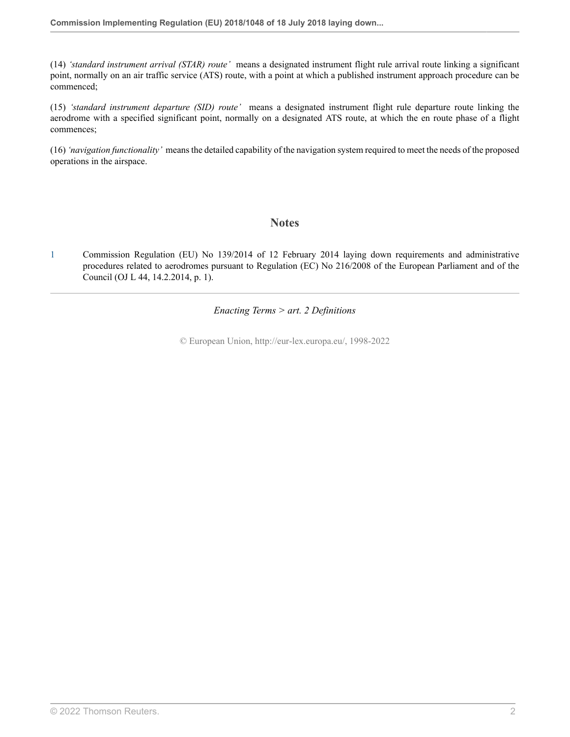(14) *'standard instrument arrival (STAR) route'* means a designated instrument flight rule arrival route linking a significant point, normally on an air traffic service (ATS) route, with a point at which a published instrument approach procedure can be commenced;

(15) *'standard instrument departure (SID) route'* means a designated instrument flight rule departure route linking the aerodrome with a specified significant point, normally on a designated ATS route, at which the en route phase of a flight commences;

(16) *'navigation functionality'* means the detailed capability of the navigation system required to meet the needs of the proposed operations in the airspace.

### **Notes**

<span id="page-6-0"></span>[1](#page-5-0) Commission Regulation (EU) No 139/2014 of 12 February 2014 laying down requirements and administrative procedures related to aerodromes pursuant to Regulation (EC) No 216/2008 of the European Parliament and of the Council (OJ L 44, 14.2.2014, p. 1).

*Enacting Terms > art. 2 Definitions*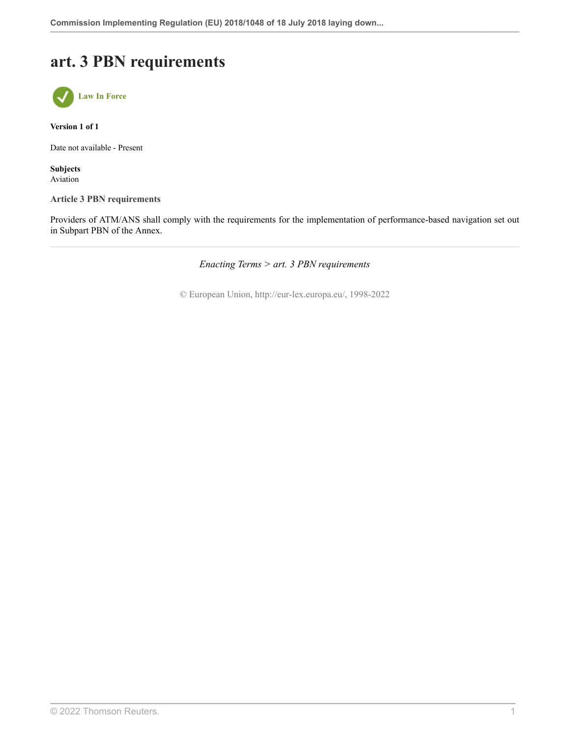# **art. 3 PBN requirements**



**Version 1 of 1**

Date not available - Present

**Subjects** Aviation

**Article 3 PBN requirements**

Providers of ATM/ANS shall comply with the requirements for the implementation of performance-based navigation set out in Subpart PBN of the Annex.

*Enacting Terms > art. 3 PBN requirements*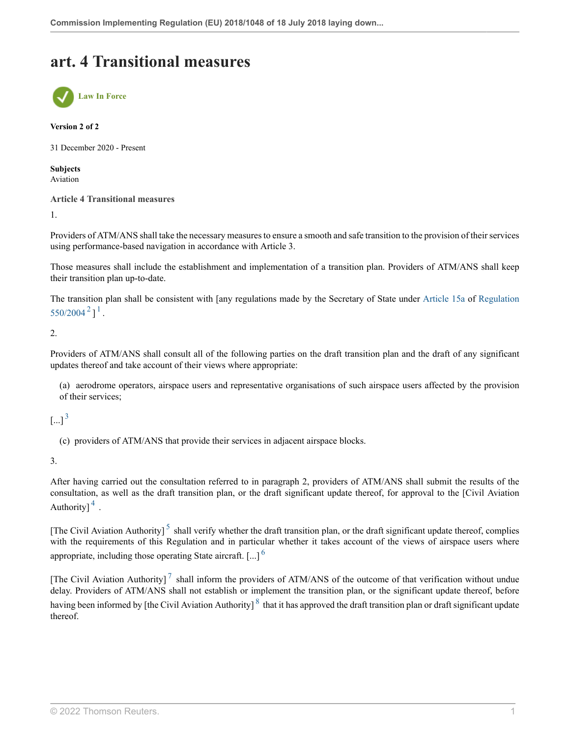### **art. 4 Transitional measures**



#### **Version 2 of 2**

31 December 2020 - Present

**Subjects** Aviation

#### **Article 4 Transitional measures**

1.

Providers of ATM/ANS shall take the necessary measures to ensure a smooth and safe transition to the provision of their services using performance-based navigation in accordance with Article 3.

Those measures shall include the establishment and implementation of a transition plan. Providers of ATM/ANS shall keep their transition plan up-to-date.

<span id="page-8-1"></span><span id="page-8-0"></span>The transition plan shall be consistent with [any regulations made by the Secretary of State under [Article 15a](http://uk.westlaw.com/Document/IAECE89A0DF5B11E9A21FC80DADD8679D/View/FullText.html?originationContext=document&transitionType=DocumentItem&vr=3.0&rs=PLUK1.0&contextData=(sc.Search)) of [Regulation](http://uk.westlaw.com/Document/IF4358670DF5A11E9A09DED71E0FBB9C5/View/FullText.html?originationContext=document&transitionType=DocumentItem&vr=3.0&rs=PLUK1.0&contextData=(sc.Search))  $550/2004^2$  $550/2004^2$  $550/2004^2$ ]<sup>[1](#page-9-1)</sup>.

2.

Providers of ATM/ANS shall consult all of the following parties on the draft transition plan and the draft of any significant updates thereof and take account of their views where appropriate:

(a) aerodrome operators, airspace users and representative organisations of such airspace users affected by the provision of their services;

### <span id="page-8-2"></span> $\lbrack ... \rbrack^3$  $\lbrack ... \rbrack^3$

(c) providers of ATM/ANS that provide their services in adjacent airspace blocks.

3.

<span id="page-8-3"></span>After having carried out the consultation referred to in paragraph 2, providers of ATM/ANS shall submit the results of the consultation, as well as the draft transition plan, or the draft significant update thereof, for approval to the [Civil Aviation Authority] $\frac{4}{1}$  $\frac{4}{1}$  $\frac{4}{1}$ .

<span id="page-8-5"></span><span id="page-8-4"></span>[The Civil Aviation Authority]<sup>[5](#page-9-4)</sup> shall verify whether the draft transition plan, or the draft significant update thereof, complies with the requirements of this Regulation and in particular whether it takes account of the views of airspace users where appropriate, including those operating State aircraft.  $\left[ \ldots \right]$ <sup>[6](#page-9-5)</sup>

<span id="page-8-7"></span><span id="page-8-6"></span>[The Civil Aviation Authority]<sup>[7](#page-9-6)</sup> shall inform the providers of ATM/ANS of the outcome of that verification without undue delay. Providers of ATM/ANS shall not establish or implement the transition plan, or the significant update thereof, before having been informed by [the Civil Aviation Authority]  $\frac{8}{3}$  $\frac{8}{3}$  $\frac{8}{3}$  that it has approved the draft transition plan or draft significant update thereof.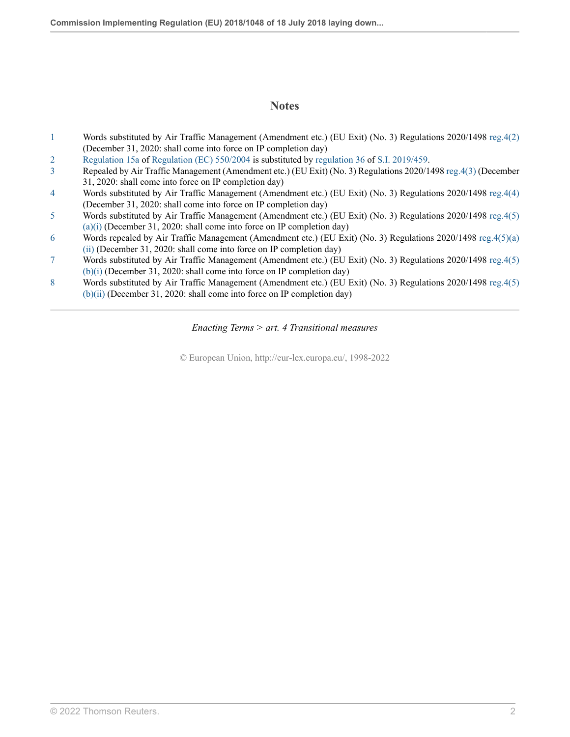### **Notes**

- <span id="page-9-1"></span>[1](#page-8-0) Words substituted by Air Traffic Management (Amendment etc.) (EU Exit) (No. 3) Regulations 2020/1498 [reg.4\(2\)](http://uk.westlaw.com/Document/I3E26FA003BA011EB9024AFDBE50F3BE7/View/FullText.html?originationContext=document&transitionType=DocumentItem&vr=3.0&rs=PLUK1.0&contextData=(sc.Search)) (December 31, 2020: shall come into force on IP completion day)
- <span id="page-9-0"></span>[2](#page-8-1) [Regulation 15a](http://uk.westlaw.com/Document/IAECE89A0DF5B11E9A21FC80DADD8679D/View/FullText.html?originationContext=document&transitionType=DocumentItem&vr=3.0&rs=PLUK1.0&contextData=(sc.Search)) of [Regulation \(EC\) 550/2004](http://uk.westlaw.com/Document/IF4358670DF5A11E9A09DED71E0FBB9C5/View/FullText.html?originationContext=document&transitionType=DocumentItem&vr=3.0&rs=PLUK1.0&contextData=(sc.Search)) is substituted by [regulation 36](http://uk.westlaw.com/Document/I3500912040A211E9A2CFD5894044247B/View/FullText.html?originationContext=document&transitionType=DocumentItem&vr=3.0&rs=PLUK1.0&contextData=(sc.Search)) of [S.I. 2019/459.](http://uk.westlaw.com/Document/I75F7B0B040A111E984B5918CADD64A75/View/FullText.html?originationContext=document&transitionType=DocumentItem&vr=3.0&rs=PLUK1.0&contextData=(sc.Search))
- <span id="page-9-2"></span>[3](#page-8-2) Repealed by Air Traffic Management (Amendment etc.) (EU Exit) (No. 3) Regulations 2020/1498 [reg.4\(3\)](http://uk.westlaw.com/Document/I3E26FA003BA011EB9024AFDBE50F3BE7/View/FullText.html?originationContext=document&transitionType=DocumentItem&vr=3.0&rs=PLUK1.0&contextData=(sc.Search)) (December 31, 2020: shall come into force on IP completion day)
- <span id="page-9-3"></span>[4](#page-8-3) Words substituted by Air Traffic Management (Amendment etc.) (EU Exit) (No. 3) Regulations 2020/1498 [reg.4\(4\)](http://uk.westlaw.com/Document/I3E26FA003BA011EB9024AFDBE50F3BE7/View/FullText.html?originationContext=document&transitionType=DocumentItem&vr=3.0&rs=PLUK1.0&contextData=(sc.Search)) (December 31, 2020: shall come into force on IP completion day)
- <span id="page-9-4"></span>[5](#page-8-4) Words substituted by Air Traffic Management (Amendment etc.) (EU Exit) (No. 3) Regulations 2020/1498 [reg.4\(5\)](http://uk.westlaw.com/Document/I3E26FA003BA011EB9024AFDBE50F3BE7/View/FullText.html?originationContext=document&transitionType=DocumentItem&vr=3.0&rs=PLUK1.0&contextData=(sc.Search))  $(a)(i)$  (December 31, 2020: shall come into force on IP completion day)
- <span id="page-9-5"></span>[6](#page-8-5) Words repealed by Air Traffic Management (Amendment etc.) (EU Exit) (No. 3) Regulations 2020/1498 [reg.4\(5\)\(a\)](http://uk.westlaw.com/Document/I3E26FA003BA011EB9024AFDBE50F3BE7/View/FullText.html?originationContext=document&transitionType=DocumentItem&vr=3.0&rs=PLUK1.0&contextData=(sc.Search)) [\(ii\)](http://uk.westlaw.com/Document/I3E26FA003BA011EB9024AFDBE50F3BE7/View/FullText.html?originationContext=document&transitionType=DocumentItem&vr=3.0&rs=PLUK1.0&contextData=(sc.Search)) (December 31, 2020: shall come into force on IP completion day)
- <span id="page-9-6"></span>[7](#page-8-6) Words substituted by Air Traffic Management (Amendment etc.) (EU Exit) (No. 3) Regulations 2020/1498 [reg.4\(5\)](http://uk.westlaw.com/Document/I3E26FA003BA011EB9024AFDBE50F3BE7/View/FullText.html?originationContext=document&transitionType=DocumentItem&vr=3.0&rs=PLUK1.0&contextData=(sc.Search)) [\(b\)\(i\)](http://uk.westlaw.com/Document/I3E26FA003BA011EB9024AFDBE50F3BE7/View/FullText.html?originationContext=document&transitionType=DocumentItem&vr=3.0&rs=PLUK1.0&contextData=(sc.Search)) (December 31, 2020: shall come into force on IP completion day)
- <span id="page-9-7"></span>[8](#page-8-7) Words substituted by Air Traffic Management (Amendment etc.) (EU Exit) (No. 3) Regulations 2020/1498 [reg.4\(5\)](http://uk.westlaw.com/Document/I3E26FA003BA011EB9024AFDBE50F3BE7/View/FullText.html?originationContext=document&transitionType=DocumentItem&vr=3.0&rs=PLUK1.0&contextData=(sc.Search)) [\(b\)\(ii\)](http://uk.westlaw.com/Document/I3E26FA003BA011EB9024AFDBE50F3BE7/View/FullText.html?originationContext=document&transitionType=DocumentItem&vr=3.0&rs=PLUK1.0&contextData=(sc.Search)) (December 31, 2020: shall come into force on IP completion day)

*Enacting Terms > art. 4 Transitional measures*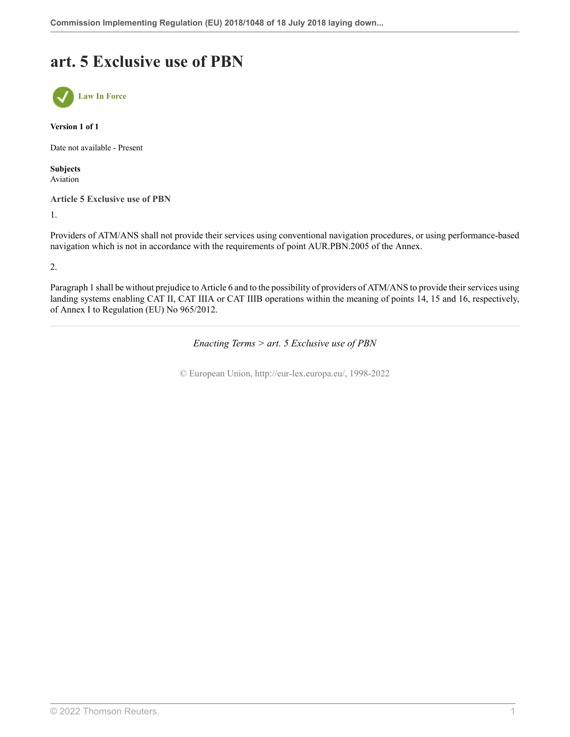### **art. 5 Exclusive use of PBN**



**Version 1 of 1**

Date not available - Present

**Subjects** Aviation

**Article 5 Exclusive use of PBN**

1.

Providers of ATM/ANS shall not provide their services using conventional navigation procedures, or using performance-based navigation which is not in accordance with the requirements of point AUR.PBN.2005 of the Annex.

2.

Paragraph 1 shall be without prejudice to Article 6 and to the possibility of providers of ATM/ANS to provide their services using landing systems enabling CAT II, CAT IIIA or CAT IIIB operations within the meaning of points 14, 15 and 16, respectively, of Annex I to Regulation (EU) No 965/2012.

*Enacting Terms > art. 5 Exclusive use of PBN*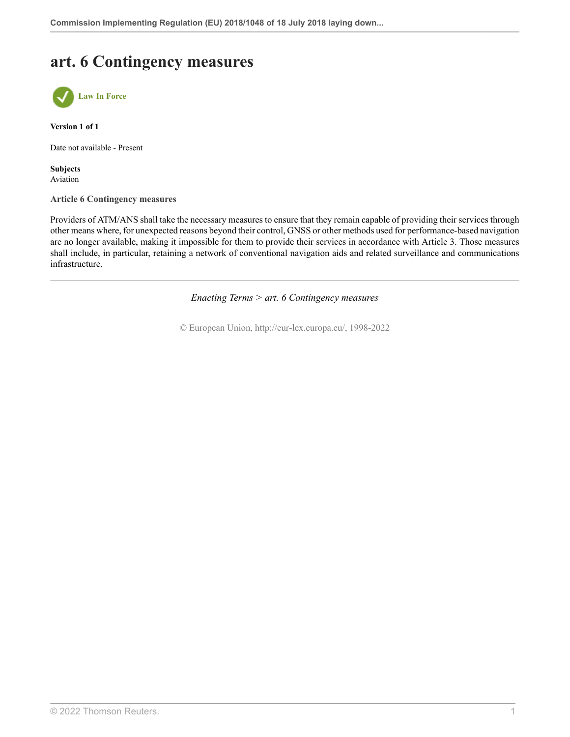# **art. 6 Contingency measures**



**Version 1 of 1**

Date not available - Present

**Subjects** Aviation

**Article 6 Contingency measures**

Providers of ATM/ANS shall take the necessary measures to ensure that they remain capable of providing their services through other means where, for unexpected reasons beyond their control, GNSS or other methods used for performance-based navigation are no longer available, making it impossible for them to provide their services in accordance with Article 3. Those measures shall include, in particular, retaining a network of conventional navigation aids and related surveillance and communications infrastructure.

*Enacting Terms > art. 6 Contingency measures*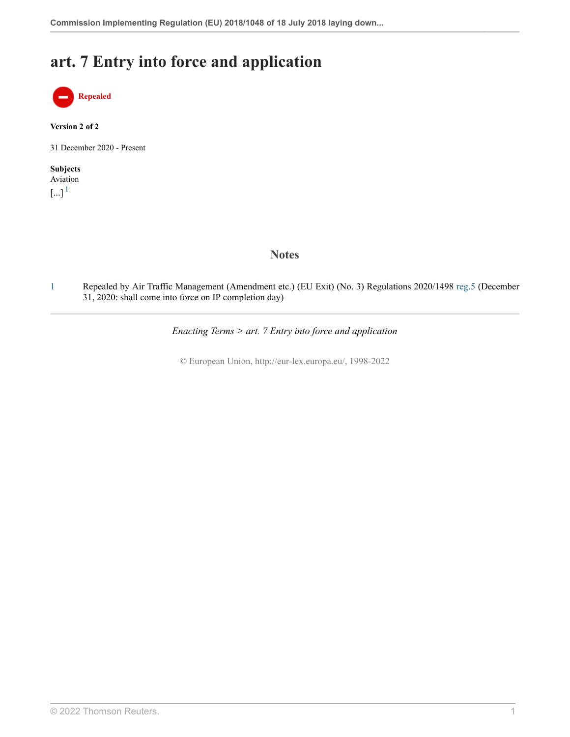### **art. 7 Entry into force and application**



**Version 2 of 2**

31 December 2020 - Present

### **Subjects** Aviation  $\left[...\right]$ <sup>[1](#page-12-0)</sup>

<span id="page-12-1"></span>

### **Notes**

<span id="page-12-0"></span>[1](#page-12-1) Repealed by Air Traffic Management (Amendment etc.) (EU Exit) (No. 3) Regulations 2020/1498 [reg.5](http://uk.westlaw.com/Document/IA529FA903BA011EB9024AFDBE50F3BE7/View/FullText.html?originationContext=document&transitionType=DocumentItem&vr=3.0&rs=PLUK1.0&contextData=(sc.Search)) (December 31, 2020: shall come into force on IP completion day)

*Enacting Terms > art. 7 Entry into force and application*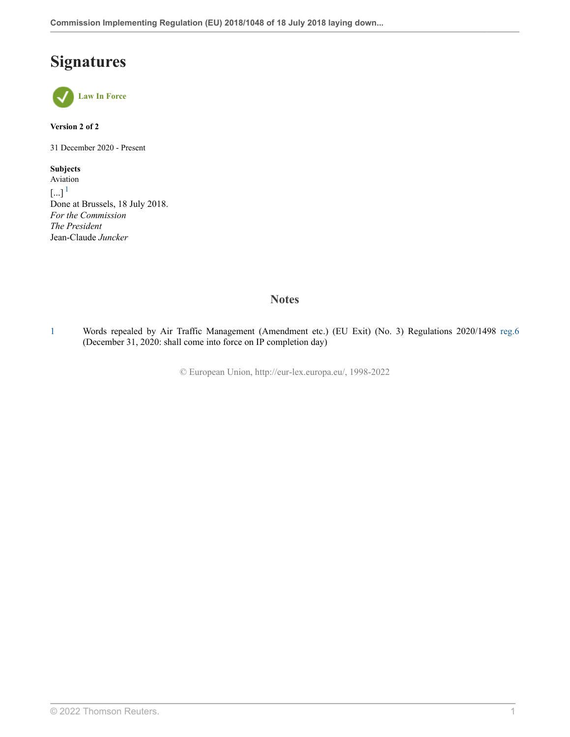# **Signatures**



**Version 2 of 2**

31 December 2020 - Present

<span id="page-13-1"></span>**Subjects** Aviation  $\left[\ldots\right]^1$  $\left[\ldots\right]^1$ Done at Brussels, 18 July 2018. *For the Commission The President* Jean-Claude *Juncker*

### **Notes**

<span id="page-13-0"></span>[1](#page-13-1) Words repealed by Air Traffic Management (Amendment etc.) (EU Exit) (No. 3) Regulations 2020/1498 [reg.6](http://uk.westlaw.com/Document/IA36BCFD03BA011EB9024AFDBE50F3BE7/View/FullText.html?originationContext=document&transitionType=DocumentItem&vr=3.0&rs=PLUK1.0&contextData=(sc.Search)) (December 31, 2020: shall come into force on IP completion day)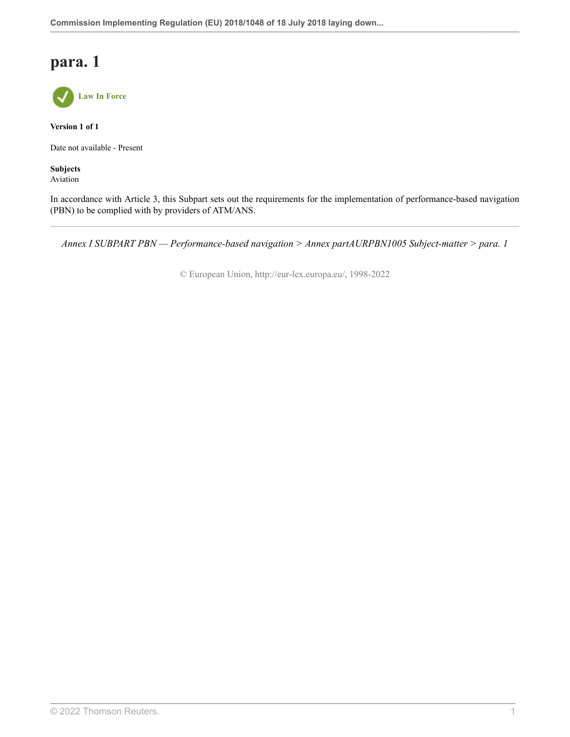### **para. 1**



**Version 1 of 1**

Date not available - Present

**Subjects** Aviation

In accordance with Article 3, this Subpart sets out the requirements for the implementation of performance-based navigation (PBN) to be complied with by providers of ATM/ANS.

*Annex I SUBPART PBN — Performance-based navigation > Annex partAURPBN1005 Subject-matter > para. 1*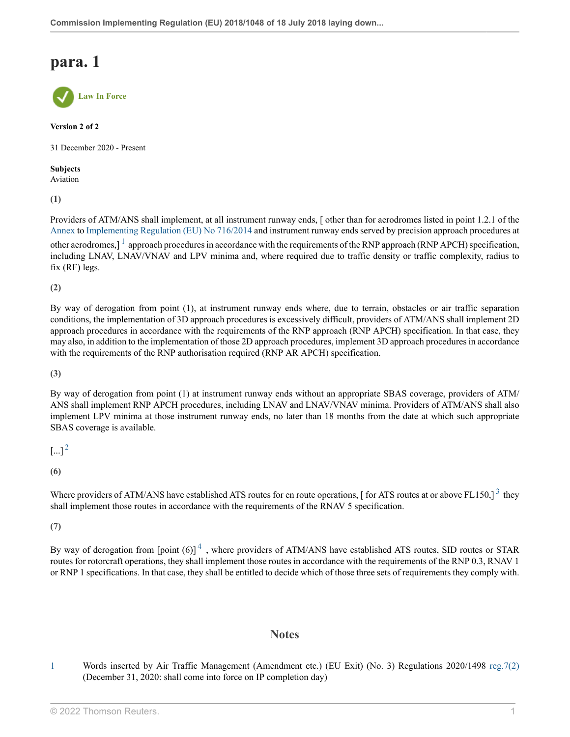### **para. 1**



**Version 2 of 2**

31 December 2020 - Present

**Subjects** Aviation

**(1)**

<span id="page-15-1"></span>Providers of ATM/ANS shall implement, at all instrument runway ends, [ other than for aerodromes listed in point 1.2.1 of the [Annex](http://uk.westlaw.com/Document/IBCE2BAD0FFD311EBB638BAFFDF5B38F8/View/FullText.html?originationContext=document&transitionType=DocumentItem&vr=3.0&rs=PLUK1.0&contextData=(sc.Search)) to [Implementing Regulation \(EU\) No 716/2014](http://uk.westlaw.com/Document/ICEBD7CA0FFAA11EBB29F8941AC1D1148/View/FullText.html?originationContext=document&transitionType=DocumentItem&vr=3.0&rs=PLUK1.0&contextData=(sc.Search)) and instrument runway ends served by precision approach procedures at other aerodromes,  $1^1$  $1^1$  approach procedures in accordance with the requirements of the RNP approach (RNP APCH) specification, including LNAV, LNAV/VNAV and LPV minima and, where required due to traffic density or traffic complexity, radius to fix (RF) legs.

**(2)**

By way of derogation from point (1), at instrument runway ends where, due to terrain, obstacles or air traffic separation conditions, the implementation of 3D approach procedures is excessively difficult, providers of ATM/ANS shall implement 2D approach procedures in accordance with the requirements of the RNP approach (RNP APCH) specification. In that case, they may also, in addition to the implementation of those 2D approach procedures, implement 3D approach procedures in accordance with the requirements of the RNP authorisation required (RNP AR APCH) specification.

**(3)**

By way of derogation from point (1) at instrument runway ends without an appropriate SBAS coverage, providers of ATM/ ANS shall implement RNP APCH procedures, including LNAV and LNAV/VNAV minima. Providers of ATM/ANS shall also implement LPV minima at those instrument runway ends, no later than 18 months from the date at which such appropriate SBAS coverage is available.

<span id="page-15-2"></span> $\left[ ... \right]^2$  $\left[ ... \right]^2$ 

**(6)**

Where providers of ATM/ANS have established ATS routes for en route operations, [for ATS routes at or above FL150,]  $^3$  $^3$  they shall implement those routes in accordance with the requirements of the RNAV 5 specification.

**(7)**

By way of derogation from  $[point (6)]^4$  $[point (6)]^4$ , where providers of ATM/ANS have established ATS routes, SID routes or STAR routes for rotorcraft operations, they shall implement those routes in accordance with the requirements of the RNP 0.3, RNAV 1 or RNP 1 specifications. In that case, they shall be entitled to decide which of those three sets of requirements they comply with.

### <span id="page-15-4"></span><span id="page-15-3"></span>**Notes**

<span id="page-15-0"></span>[1](#page-15-1) Words inserted by Air Traffic Management (Amendment etc.) (EU Exit) (No. 3) Regulations 2020/1498 [reg.7\(2\)](http://uk.westlaw.com/Document/IB5EDAA703BA011EB9024AFDBE50F3BE7/View/FullText.html?originationContext=document&transitionType=DocumentItem&vr=3.0&rs=PLUK1.0&contextData=(sc.Search)) (December 31, 2020: shall come into force on IP completion day)